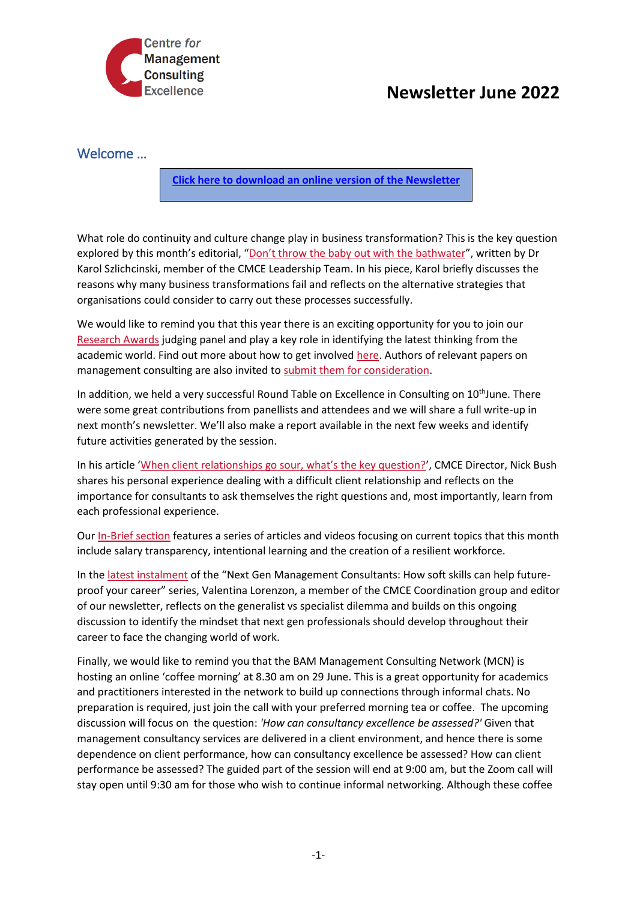

## **Newsletter June 2022**

## Welcome …

**[Click here to download an online version of the Newsletter](https://mailchi.mp/50d1c01a4ebd/cmce-events-bulletin-5-february-15499683)**

What role do continuity and culture change play in business transformation? This is the key question explored by this month's editorial, ["Don't throw the baby out with the bathwater"](https://cmce.us19.list-manage.com/track/click?u=f4cf11b76da46742d6bab4404&id=fbcc0f5bdd&e=c010a948f1), written by Dr Karol Szlichcinski, member of the CMCE Leadership Team. In his piece, Karol briefly discusses the reasons why many business transformations fail and reflects on the alternative strategies that organisations could consider to carry out these processes successfully.

We would like to remind you that this year there is an exciting opportunity for you to join our [Research Awards](https://cmce.us19.list-manage.com/track/click?u=f4cf11b76da46742d6bab4404&id=ef87fb5e96&e=c010a948f1) judging panel and play a key role in identifying the latest thinking from the academic world. Find out more about how to get involved [here.](https://cmce.us19.list-manage.com/track/click?u=f4cf11b76da46742d6bab4404&id=0dea59b2b6&e=c010a948f1) Authors of relevant papers on management consulting are also invited to [submit them for consideration.](https://cmce.us19.list-manage.com/track/click?u=f4cf11b76da46742d6bab4404&id=71e7c3ad46&e=c010a948f1)

In addition, we held a very successful Round Table on Excellence in Consulting on 10<sup>th</sup>June. There were some great contributions from panellists and attendees and we will share a full write-up in next month's newsletter. We'll also make a report available in the next few weeks and identify future activities generated by the session.

In his article ['When client relationships go sour, what's the key question?'](https://cmce.us19.list-manage.com/track/click?u=f4cf11b76da46742d6bab4404&id=7f6408d1b1&e=c010a948f1), CMCE Director, Nick Bush shares his personal experience dealing with a difficult client relationship and reflects on the importance for consultants to ask themselves the right questions and, most importantly, learn from each professional experience.

Our [In-Brief section](https://cmce.us19.list-manage.com/track/click?u=f4cf11b76da46742d6bab4404&id=2ccfbf7e22&e=c010a948f1) features a series of articles and videos focusing on current topics that this month include salary transparency, intentional learning and the creation of a resilient workforce.

In the [latest instalment](https://cmce.us19.list-manage.com/track/click?u=f4cf11b76da46742d6bab4404&id=b62af37213&e=c010a948f1) of the "Next Gen Management Consultants: How soft skills can help futureproof your career" series, Valentina Lorenzon, a member of the CMCE Coordination group and editor of our newsletter, reflects on the generalist vs specialist dilemma and builds on this ongoing discussion to identify the mindset that next gen professionals should develop throughout their career to face the changing world of work.

Finally, we would like to remind you that the BAM Management Consulting Network (MCN) is hosting an online 'coffee morning' at 8.30 am on 29 June. This is a great opportunity for academics and practitioners interested in the network to build up connections through informal chats. No preparation is required, just join the call with your preferred morning tea or coffee. The upcoming discussion will focus on the question: *'How can consultancy excellence be assessed?'* Given that management consultancy services are delivered in a client environment, and hence there is some dependence on client performance, how can consultancy excellence be assessed? How can client performance be assessed? The guided part of the session will end at 9:00 am, but the Zoom call will stay open until 9:30 am for those who wish to continue informal networking. Although these coffee